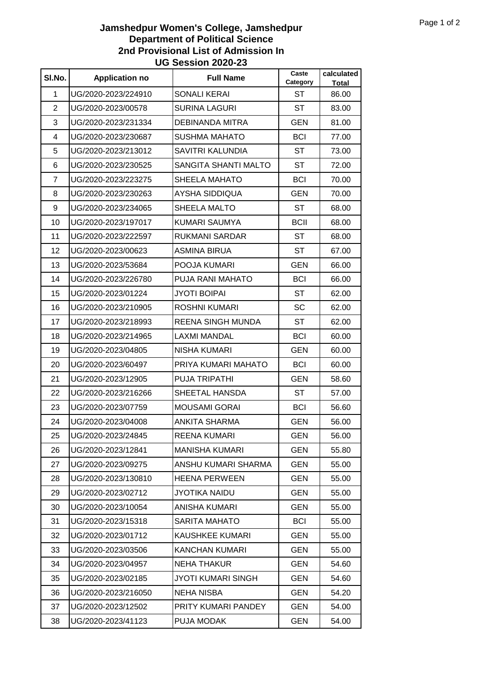## **Jamshedpur Women's College, Jamshedpur Department of Political Science 2nd Provisional List of Admission In UG Session 2020-23**

| SI.No.         | <b>Application no</b> | <b>Full Name</b>            | Caste<br>Category | calculated<br><b>Total</b> |
|----------------|-----------------------|-----------------------------|-------------------|----------------------------|
| 1              | UG/2020-2023/224910   | <b>SONALI KERAI</b>         | <b>ST</b>         | 86.00                      |
| 2              | UG/2020-2023/00578    | <b>SURINA LAGURI</b>        | <b>ST</b>         | 83.00                      |
| 3              | UG/2020-2023/231334   | DEBINANDA MITRA             | <b>GEN</b>        | 81.00                      |
| 4              | UG/2020-2023/230687   | <b>SUSHMA MAHATO</b>        | <b>BCI</b>        | 77.00                      |
| 5              | UG/2020-2023/213012   | <b>SAVITRI KALUNDIA</b>     | <b>ST</b>         | 73.00                      |
| 6              | UG/2020-2023/230525   | <b>SANGITA SHANTI MALTO</b> | <b>ST</b>         | 72.00                      |
| $\overline{7}$ | UG/2020-2023/223275   | <b>SHEELA MAHATO</b>        | <b>BCI</b>        | 70.00                      |
| 8              | UG/2020-2023/230263   | AYSHA SIDDIQUA              | <b>GEN</b>        | 70.00                      |
| 9              | UG/2020-2023/234065   | SHEELA MALTO                | ST                | 68.00                      |
| 10             | UG/2020-2023/197017   | KUMARI SAUMYA               | <b>BCII</b>       | 68.00                      |
| 11             | UG/2020-2023/222597   | <b>RUKMANI SARDAR</b>       | <b>ST</b>         | 68.00                      |
| 12             | UG/2020-2023/00623    | ASMINA BIRUA                | <b>ST</b>         | 67.00                      |
| 13             | UG/2020-2023/53684    | POOJA KUMARI                | <b>GEN</b>        | 66.00                      |
| 14             | UG/2020-2023/226780   | PUJA RANI MAHATO            | <b>BCI</b>        | 66.00                      |
| 15             | UG/2020-2023/01224    | <b>JYOTI BOIPAI</b>         | ST                | 62.00                      |
| 16             | UG/2020-2023/210905   | ROSHNI KUMARI               | SC                | 62.00                      |
| 17             | UG/2020-2023/218993   | REENA SINGH MUNDA           | <b>ST</b>         | 62.00                      |
| 18             | UG/2020-2023/214965   | <b>LAXMI MANDAL</b>         | <b>BCI</b>        | 60.00                      |
| 19             | UG/2020-2023/04805    | <b>NISHA KUMARI</b>         | <b>GEN</b>        | 60.00                      |
| 20             | UG/2020-2023/60497    | PRIYA KUMARI MAHATO         | <b>BCI</b>        | 60.00                      |
| 21             | UG/2020-2023/12905    | <b>PUJA TRIPATHI</b>        | <b>GEN</b>        | 58.60                      |
| 22             | UG/2020-2023/216266   | SHEETAL HANSDA              | ST                | 57.00                      |
| 23             | UG/2020-2023/07759    | <b>MOUSAMI GORAI</b>        | <b>BCI</b>        | 56.60                      |
| 24             | UG/2020-2023/04008    | ANKITA SHARMA               | <b>GEN</b>        | 56.00                      |
| 25             | UG/2020-2023/24845    | <b>REENA KUMARI</b>         | <b>GEN</b>        | 56.00                      |
| 26             | UG/2020-2023/12841    | <b>MANISHA KUMARI</b>       | <b>GEN</b>        | 55.80                      |
| 27             | UG/2020-2023/09275    | ANSHU KUMARI SHARMA         | <b>GEN</b>        | 55.00                      |
| 28             | UG/2020-2023/130810   | HEENA PERWEEN               | <b>GEN</b>        | 55.00                      |
| 29             | UG/2020-2023/02712    | <b>JYOTIKA NAIDU</b>        | <b>GEN</b>        | 55.00                      |
| 30             | UG/2020-2023/10054    | ANISHA KUMARI               | <b>GEN</b>        | 55.00                      |
| 31             | UG/2020-2023/15318    | <b>SARITA MAHATO</b>        | <b>BCI</b>        | 55.00                      |
| 32             | UG/2020-2023/01712    | KAUSHKEE KUMARI             | <b>GEN</b>        | 55.00                      |
| 33             | UG/2020-2023/03506    | KANCHAN KUMARI              | <b>GEN</b>        | 55.00                      |
| 34             | UG/2020-2023/04957    | <b>NEHA THAKUR</b>          | <b>GEN</b>        | 54.60                      |
| 35             | UG/2020-2023/02185    | JYOTI KUMARI SINGH          | <b>GEN</b>        | 54.60                      |
| 36             | UG/2020-2023/216050   | <b>NEHA NISBA</b>           | <b>GEN</b>        | 54.20                      |
| 37             | UG/2020-2023/12502    | PRITY KUMARI PANDEY         | <b>GEN</b>        | 54.00                      |
| 38             | UG/2020-2023/41123    | PUJA MODAK                  | <b>GEN</b>        | 54.00                      |